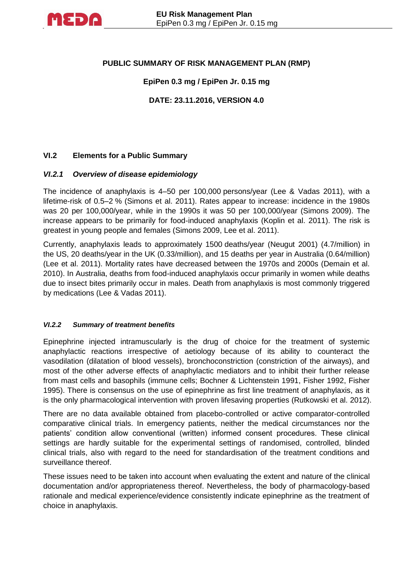

## **PUBLIC SUMMARY OF RISK MANAGEMENT PLAN (RMP)**

## **EpiPen 0.3 mg / EpiPen Jr. 0.15 mg**

**DATE: 23.11.2016, VERSION 4.0**

## **VI.2 Elements for a Public Summary**

### *VI.2.1 Overview of disease epidemiology*

The incidence of anaphylaxis is 4–50 per 100,000 persons/year (Lee & Vadas 2011), with a lifetime-risk of 0.5–2 % (Simons et al. 2011). Rates appear to increase: incidence in the 1980s was 20 per 100,000/year, while in the 1990s it was 50 per 100,000/year (Simons 2009). The increase appears to be primarily for food-induced anaphylaxis (Koplin et al. 2011). The risk is greatest in young people and females (Simons 2009, Lee et al. 2011).

Currently, anaphylaxis leads to approximately 1500 deaths/year (Neugut 2001) (4.7/million) in the US, 20 deaths/year in the UK (0.33/million), and 15 deaths per year in Australia (0.64/million) (Lee et al. 2011). Mortality rates have decreased between the 1970s and 2000s (Demain et al. 2010). In Australia, deaths from food-induced anaphylaxis occur primarily in women while deaths due to insect bites primarily occur in males. Death from anaphylaxis is most commonly triggered by medications (Lee & Vadas 2011).

#### *VI.2.2 Summary of treatment benefits*

Epinephrine injected intramuscularly is the drug of choice for the treatment of systemic anaphylactic reactions irrespective of aetiology because of its ability to counteract the vasodilation (dilatation of blood vessels), bronchoconstriction (constriction of the airways), and most of the other adverse effects of anaphylactic mediators and to inhibit their further release from mast cells and basophils (immune cells; Bochner & Lichtenstein 1991, Fisher 1992, Fisher 1995). There is consensus on the use of epinephrine as first line treatment of anaphylaxis, as it is the only pharmacological intervention with proven lifesaving properties (Rutkowski et al. 2012).

There are no data available obtained from placebo-controlled or active comparator-controlled comparative clinical trials. In emergency patients, neither the medical circumstances nor the patients' condition allow conventional (written) informed consent procedures. These clinical settings are hardly suitable for the experimental settings of randomised, controlled, blinded clinical trials, also with regard to the need for standardisation of the treatment conditions and surveillance thereof.

These issues need to be taken into account when evaluating the extent and nature of the clinical documentation and/or appropriateness thereof. Nevertheless, the body of pharmacology-based rationale and medical experience/evidence consistently indicate epinephrine as the treatment of choice in anaphylaxis.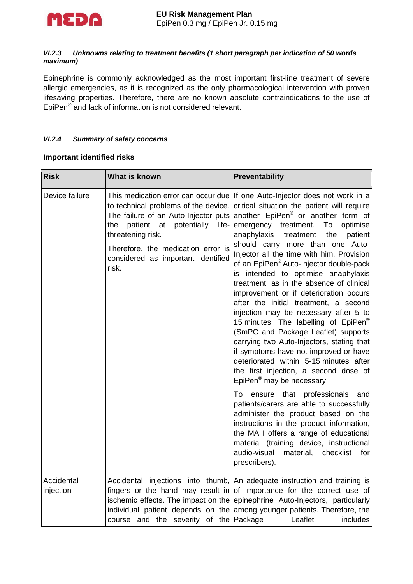

#### *VI.2.3 Unknowns relating to treatment benefits (1 short paragraph per indication of 50 words maximum)*

Epinephrine is commonly acknowledged as the most important first-line treatment of severe allergic emergencies, as it is recognized as the only pharmacological intervention with proven lifesaving properties. Therefore, there are no known absolute contraindications to the use of EpiPen<sup>®</sup> and lack of information is not considered relevant.

### *VI.2.4 Summary of safety concerns*

### **Important identified risks**

| <b>Risk</b>             | <b>What is known</b>                                                                                                                                                                         | Preventability                                                                                                                                                                                                                                                                                                                                                                                                                                                                                                                                                                                                                                                                                                                                                                                                                                                                                                                                                                   |  |
|-------------------------|----------------------------------------------------------------------------------------------------------------------------------------------------------------------------------------------|----------------------------------------------------------------------------------------------------------------------------------------------------------------------------------------------------------------------------------------------------------------------------------------------------------------------------------------------------------------------------------------------------------------------------------------------------------------------------------------------------------------------------------------------------------------------------------------------------------------------------------------------------------------------------------------------------------------------------------------------------------------------------------------------------------------------------------------------------------------------------------------------------------------------------------------------------------------------------------|--|
| Device failure          | The failure of an Auto-Injector puts<br>patient<br>at potentially<br>life-<br>the.<br>threatening risk.<br>Therefore, the medication error is<br>considered as important identified<br>risk. | This medication error can occur due If one Auto-Injector does not work in a<br>to technical problems of the device. critical situation the patient will require<br>another EpiPen <sup>®</sup> or another form of<br>emergency<br>To<br>treatment.<br>optimise<br>anaphylaxis<br>the<br>treatment<br>patient<br>should carry more than one Auto-<br>Injector all the time with him. Provision<br>of an EpiPen <sup>®</sup> Auto-Injector double-pack<br>is intended to optimise anaphylaxis<br>treatment, as in the absence of clinical<br>improvement or if deterioration occurs<br>after the initial treatment, a second<br>injection may be necessary after 5 to<br>15 minutes. The labelling of EpiPen <sup>®</sup><br>(SmPC and Package Leaflet) supports<br>carrying two Auto-Injectors, stating that<br>if symptoms have not improved or have<br>deteriorated within 5-15 minutes after<br>the first injection, a second dose of<br>EpiPen <sup>®</sup> may be necessary. |  |
|                         |                                                                                                                                                                                              | ensure that professionals<br>and<br>To<br>patients/carers are able to successfully<br>administer the product based on the<br>instructions in the product information,<br>the MAH offers a range of educational<br>material (training device, instructional<br>audio-visual<br>material, checklist<br>for<br>prescribers).                                                                                                                                                                                                                                                                                                                                                                                                                                                                                                                                                                                                                                                        |  |
| Accidental<br>injection | course and the severity of the Package                                                                                                                                                       | Accidental injections into thumb, An adequate instruction and training is<br>fingers or the hand may result in of importance for the correct use of<br>ischemic effects. The impact on the epinephrine Auto-Injectors, particularly<br>individual patient depends on the among younger patients. Therefore, the<br>Leaflet<br>includes                                                                                                                                                                                                                                                                                                                                                                                                                                                                                                                                                                                                                                           |  |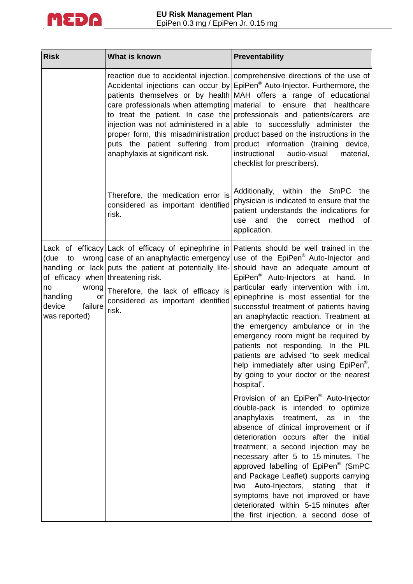

| <b>Risk</b>                                                                                                                 | What is known                                                                                                                                                                          | Preventability                                                                                                                                                                                                                                                                                                                                                                                                                                                                                                                                                                                                                                                                                                    |  |
|-----------------------------------------------------------------------------------------------------------------------------|----------------------------------------------------------------------------------------------------------------------------------------------------------------------------------------|-------------------------------------------------------------------------------------------------------------------------------------------------------------------------------------------------------------------------------------------------------------------------------------------------------------------------------------------------------------------------------------------------------------------------------------------------------------------------------------------------------------------------------------------------------------------------------------------------------------------------------------------------------------------------------------------------------------------|--|
|                                                                                                                             | anaphylaxis at significant risk.                                                                                                                                                       | reaction due to accidental injection. comprehensive directions of the use of<br>Accidental injections can occur by EpiPen <sup>®</sup> Auto-Injector. Furthermore, the<br>patients themselves or by health MAH offers a range of educational<br>care professionals when attempting material to ensure that healthcare<br>to treat the patient. In case the professionals and patients/carers are<br>injection was not administered in a able to successfully administer the<br>proper form, this misadministration product based on the instructions in the<br>puts the patient suffering from product information (training device,<br>instructional<br>audio-visual<br>material,<br>checklist for prescribers). |  |
|                                                                                                                             | Therefore, the medication error is<br>considered as important identified<br>risk.                                                                                                      | Additionally, within the SmPC the<br>physician is indicated to ensure that the<br>patient understands the indications for<br>and the<br>method<br>correct<br>use<br>0f<br>application.                                                                                                                                                                                                                                                                                                                                                                                                                                                                                                                            |  |
| (due to<br>of efficacy when threatening risk.<br>wrong<br>no<br>handling<br><b>or</b><br>failure<br>device<br>was reported) | wrong case of an anaphylactic emergency<br>handling or lack puts the patient at potentially life-<br>Therefore, the lack of efficacy is<br>considered as important identified<br>risk. | Lack of efficacy Lack of efficacy of epinephrine in Patients should be well trained in the<br>use of the EpiPen <sup>®</sup> Auto-Injector and<br>should have an adequate amount of<br>EpiPen <sup>®</sup> Auto-Injectors at hand. In<br>particular early intervention with i.m.<br>epinephrine is most essential for the<br>successful treatment of patients having<br>an anaphylactic reaction. Treatment at<br>the emergency ambulance or in the<br>emergency room might be required by<br>patients not responding. In the PIL<br>patients are advised "to seek medical<br>help immediately after using EpiPen <sup>®</sup> ,<br>by going to your doctor or the nearest<br>hospital".                          |  |
|                                                                                                                             |                                                                                                                                                                                        | Provision of an EpiPen <sup>®</sup> Auto-Injector<br>double-pack is intended to optimize<br>anaphylaxis<br>treatment,<br>in<br>the<br>as<br>absence of clinical improvement or if<br>deterioration occurs after the initial<br>treatment, a second injection may be<br>necessary after 5 to 15 minutes. The<br>approved labelling of EpiPen <sup>®</sup> (SmPC<br>and Package Leaflet) supports carrying<br>Auto-Injectors,<br>stating<br>that if<br>two<br>symptoms have not improved or have<br>deteriorated within 5-15 minutes after<br>the first injection, a second dose of                                                                                                                                 |  |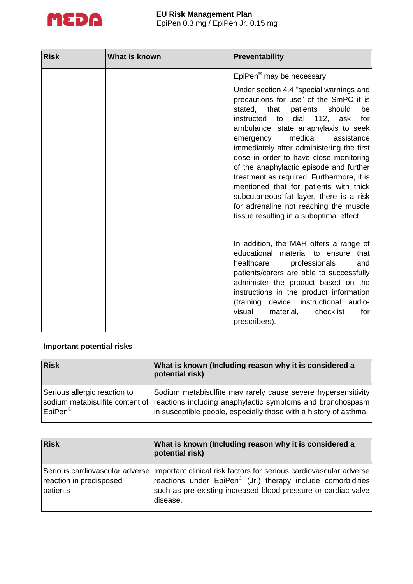

| <b>Risk</b> | What is known | Preventability                                                                                                                                                                                                                                                                                                                                                                                                                                                                                                                                                                                                             |  |
|-------------|---------------|----------------------------------------------------------------------------------------------------------------------------------------------------------------------------------------------------------------------------------------------------------------------------------------------------------------------------------------------------------------------------------------------------------------------------------------------------------------------------------------------------------------------------------------------------------------------------------------------------------------------------|--|
|             |               | EpiPen <sup>®</sup> may be necessary.                                                                                                                                                                                                                                                                                                                                                                                                                                                                                                                                                                                      |  |
|             |               | Under section 4.4 "special warnings and<br>precautions for use" of the SmPC it is<br>that<br>patients<br>should<br>stated,<br>be<br>dial<br>112,<br>instructed<br>to<br>ask<br>for<br>ambulance, state anaphylaxis to seek<br>medical<br>assistance<br>emergency<br>immediately after administering the first<br>dose in order to have close monitoring<br>of the anaphylactic episode and further<br>treatment as required. Furthermore, it is<br>mentioned that for patients with thick<br>subcutaneous fat layer, there is a risk<br>for adrenaline not reaching the muscle<br>tissue resulting in a suboptimal effect. |  |
|             |               | In addition, the MAH offers a range of<br>educational material to ensure that<br>healthcare<br>professionals<br>and<br>patients/carers are able to successfully<br>administer the product based on the<br>instructions in the product information<br>(training device, instructional audio-<br>visual<br>material,<br>checklist<br>for<br>prescribers).                                                                                                                                                                                                                                                                    |  |

# **Important potential risks**

| <b>Risk</b>                                         | What is known (Including reason why it is considered a<br>potential risk)                                                                                                                                                        |  |  |
|-----------------------------------------------------|----------------------------------------------------------------------------------------------------------------------------------------------------------------------------------------------------------------------------------|--|--|
| Serious allergic reaction to<br>EpiPen <sup>®</sup> | Sodium metabisulfite may rarely cause severe hypersensitivity<br>sodium metabisulfite content of reactions including anaphylactic symptoms and bronchospasm<br>in susceptible people, especially those with a history of asthma. |  |  |

| <b>Risk</b>                         | What is known (Including reason why it is considered a<br>potential risk)                                                                                                                                                                                  |  |  |
|-------------------------------------|------------------------------------------------------------------------------------------------------------------------------------------------------------------------------------------------------------------------------------------------------------|--|--|
| reaction in predisposed<br>patients | Serious cardiovascular adverse Important clinical risk factors for serious cardiovascular adverse<br>reactions under EpiPen <sup>®</sup> (Jr.) therapy include comorbidities<br>such as pre-existing increased blood pressure or cardiac valve<br>disease. |  |  |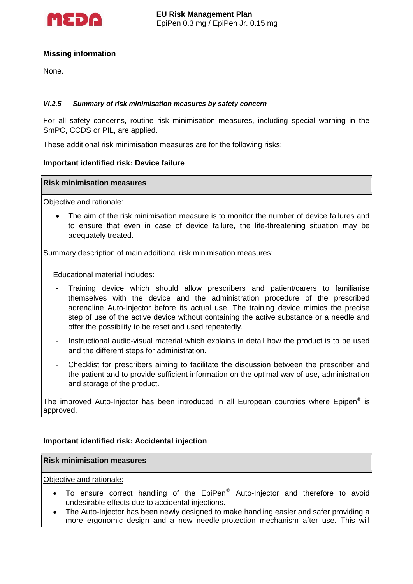

## **Missing information**

None.

#### *VI.2.5 Summary of risk minimisation measures by safety concern*

For all safety concerns, routine risk minimisation measures, including special warning in the SmPC, CCDS or PIL, are applied.

These additional risk minimisation measures are for the following risks:

#### **Important identified risk: Device failure**

#### **Risk minimisation measures**

Objective and rationale:

 The aim of the risk minimisation measure is to monitor the number of device failures and to ensure that even in case of device failure, the life-threatening situation may be adequately treated.

Summary description of main additional risk minimisation measures:

Educational material includes:

- Training device which should allow prescribers and patient/carers to familiarise themselves with the device and the administration procedure of the prescribed adrenaline Auto-Injector before its actual use. The training device mimics the precise step of use of the active device without containing the active substance or a needle and offer the possibility to be reset and used repeatedly.
- Instructional audio-visual material which explains in detail how the product is to be used and the different steps for administration.
- Checklist for prescribers aiming to facilitate the discussion between the prescriber and the patient and to provide sufficient information on the optimal way of use, administration and storage of the product.

The improved Auto-Injector has been introduced in all European countries where Epipen® is approved.

### **Important identified risk: Accidental injection**

#### **Risk minimisation measures**

Objective and rationale:

- To ensure correct handling of the EpiPen® Auto-Injector and therefore to avoid undesirable effects due to accidental injections.
- The Auto-Injector has been newly designed to make handling easier and safer providing a more ergonomic design and a new needle-protection mechanism after use. This will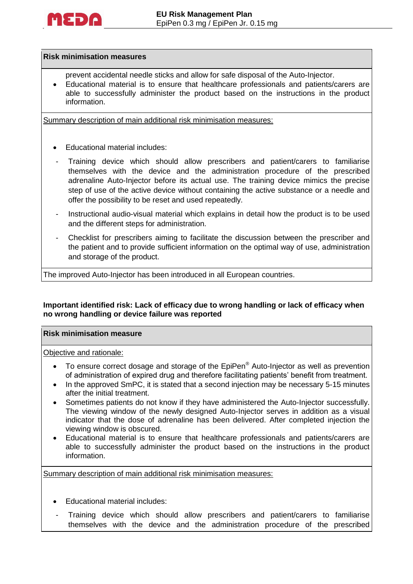

#### **Risk minimisation measures**

- prevent accidental needle sticks and allow for safe disposal of the Auto-Injector.
- Educational material is to ensure that healthcare professionals and patients/carers are able to successfully administer the product based on the instructions in the product information.

Summary description of main additional risk minimisation measures:

- Educational material includes:
- Training device which should allow prescribers and patient/carers to familiarise themselves with the device and the administration procedure of the prescribed adrenaline Auto-Injector before its actual use. The training device mimics the precise step of use of the active device without containing the active substance or a needle and offer the possibility to be reset and used repeatedly.
- Instructional audio-visual material which explains in detail how the product is to be used and the different steps for administration.
- Checklist for prescribers aiming to facilitate the discussion between the prescriber and the patient and to provide sufficient information on the optimal way of use, administration and storage of the product.

The improved Auto-Injector has been introduced in all European countries.

### **Important identified risk: Lack of efficacy due to wrong handling or lack of efficacy when no wrong handling or device failure was reported**

#### **Risk minimisation measure**

#### Objective and rationale:

- $\bullet$  To ensure correct dosage and storage of the EpiPen<sup>®</sup> Auto-Injector as well as prevention of administration of expired drug and therefore facilitating patients' benefit from treatment.
- In the approved SmPC, it is stated that a second injection may be necessary 5-15 minutes after the initial treatment.
- Sometimes patients do not know if they have administered the Auto-Injector successfully. The viewing window of the newly designed Auto-Injector serves in addition as a visual indicator that the dose of adrenaline has been delivered. After completed injection the viewing window is obscured.
- Educational material is to ensure that healthcare professionals and patients/carers are able to successfully administer the product based on the instructions in the product information.

Summary description of main additional risk minimisation measures:

- Educational material includes:
- Training device which should allow prescribers and patient/carers to familiarise themselves with the device and the administration procedure of the prescribed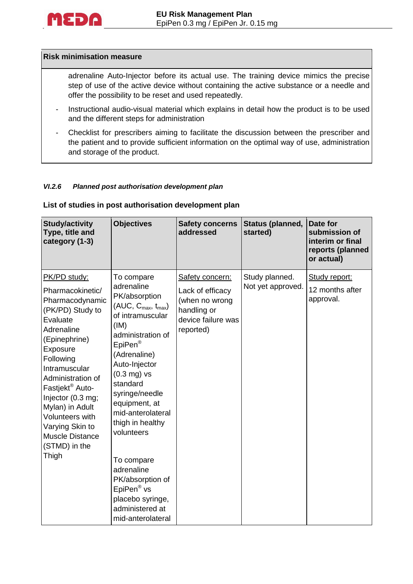

#### **Risk minimisation measure**

adrenaline Auto-Injector before its actual use. The training device mimics the precise step of use of the active device without containing the active substance or a needle and offer the possibility to be reset and used repeatedly.

- Instructional audio-visual material which explains in detail how the product is to be used and the different steps for administration
- Checklist for prescribers aiming to facilitate the discussion between the prescriber and the patient and to provide sufficient information on the optimal way of use, administration and storage of the product.

#### *VI.2.6 Planned post authorisation development plan*

#### **List of studies in post authorisation development plan**

| <b>Study/activity</b><br>Type, title and<br>category (1-3)                                                                                                                                                                                                                                                                                         | <b>Objectives</b>                                                                                                                                                                                                                                                                                                                                                                                                                                    | <b>Safety concerns</b><br>addressed                                                                     | Status (planned,<br>started)        | Date for<br>submission of<br>interim or final<br>reports (planned<br>or actual) |
|----------------------------------------------------------------------------------------------------------------------------------------------------------------------------------------------------------------------------------------------------------------------------------------------------------------------------------------------------|------------------------------------------------------------------------------------------------------------------------------------------------------------------------------------------------------------------------------------------------------------------------------------------------------------------------------------------------------------------------------------------------------------------------------------------------------|---------------------------------------------------------------------------------------------------------|-------------------------------------|---------------------------------------------------------------------------------|
| PK/PD study:<br>Pharmacokinetic/<br>Pharmacodynamic<br>(PK/PD) Study to<br>Evaluate<br>Adrenaline<br>(Epinephrine)<br>Exposure<br>Following<br>Intramuscular<br>Administration of<br>Fastjekt <sup>®</sup> Auto-<br>Injector (0.3 mg;<br>Mylan) in Adult<br>Volunteers with<br>Varying Skin to<br><b>Muscle Distance</b><br>(STMD) in the<br>Thigh | To compare<br>adrenaline<br>PK/absorption<br>$(AUC, C_{max}, t_{max})$<br>of intramuscular<br>(IM)<br>administration of<br>EpiPen <sup>®</sup><br>(Adrenaline)<br>Auto-Injector<br>$(0.3 \text{ mg})$ vs<br>standard<br>syringe/needle<br>equipment, at<br>mid-anterolateral<br>thigh in healthy<br>volunteers<br>To compare<br>adrenaline<br>PK/absorption of<br>EpiPen <sup>®</sup> vs<br>placebo syringe,<br>administered at<br>mid-anterolateral | Safety concern:<br>Lack of efficacy<br>(when no wrong<br>handling or<br>device failure was<br>reported) | Study planned.<br>Not yet approved. | Study report:<br>12 months after<br>approval.                                   |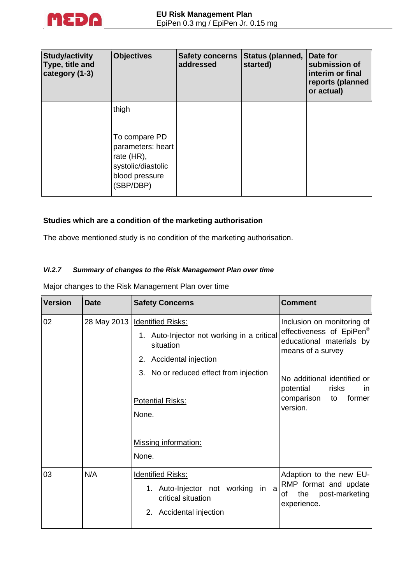

| <b>Study/activity</b><br>Type, title and<br>category (1-3) | <b>Objectives</b>                                                                                              | <b>Safety concerns</b><br>addressed | Status (planned,<br>started) | Date for<br>submission of<br>interim or final<br>reports (planned<br>or actual) |
|------------------------------------------------------------|----------------------------------------------------------------------------------------------------------------|-------------------------------------|------------------------------|---------------------------------------------------------------------------------|
|                                                            | thigh<br>To compare PD<br>parameters: heart<br>rate (HR),<br>systolic/diastolic<br>blood pressure<br>(SBP/DBP) |                                     |                              |                                                                                 |

## **Studies which are a condition of the marketing authorisation**

The above mentioned study is no condition of the marketing authorisation.

## *VI.2.7 Summary of changes to the Risk Management Plan over time*

Major changes to the Risk Management Plan over time

| <b>Version</b> | <b>Date</b> | <b>Safety Concerns</b>                                                                                                | <b>Comment</b>                                                                                                      |
|----------------|-------------|-----------------------------------------------------------------------------------------------------------------------|---------------------------------------------------------------------------------------------------------------------|
| 02             |             | 28 May 2013   Identified Risks:<br>1. Auto-Injector not working in a critical<br>situation<br>2. Accidental injection | Inclusion on monitoring of<br>effectiveness of EpiPen <sup>®</sup><br>educational materials by<br>means of a survey |
|                |             | 3. No or reduced effect from injection<br><b>Potential Risks:</b><br>None.<br><b>Missing information:</b>             | No additional identified or<br>potential<br>risks<br>in.<br>comparison<br>former<br>to<br>version.                  |
|                |             | None.                                                                                                                 |                                                                                                                     |
| 03             | N/A         | <b>Identified Risks:</b><br>1. Auto-Injector not working in a<br>critical situation<br>2. Accidental injection        | Adaption to the new EU-<br>RMP format and update<br>the<br>post-marketing<br>of<br>experience.                      |